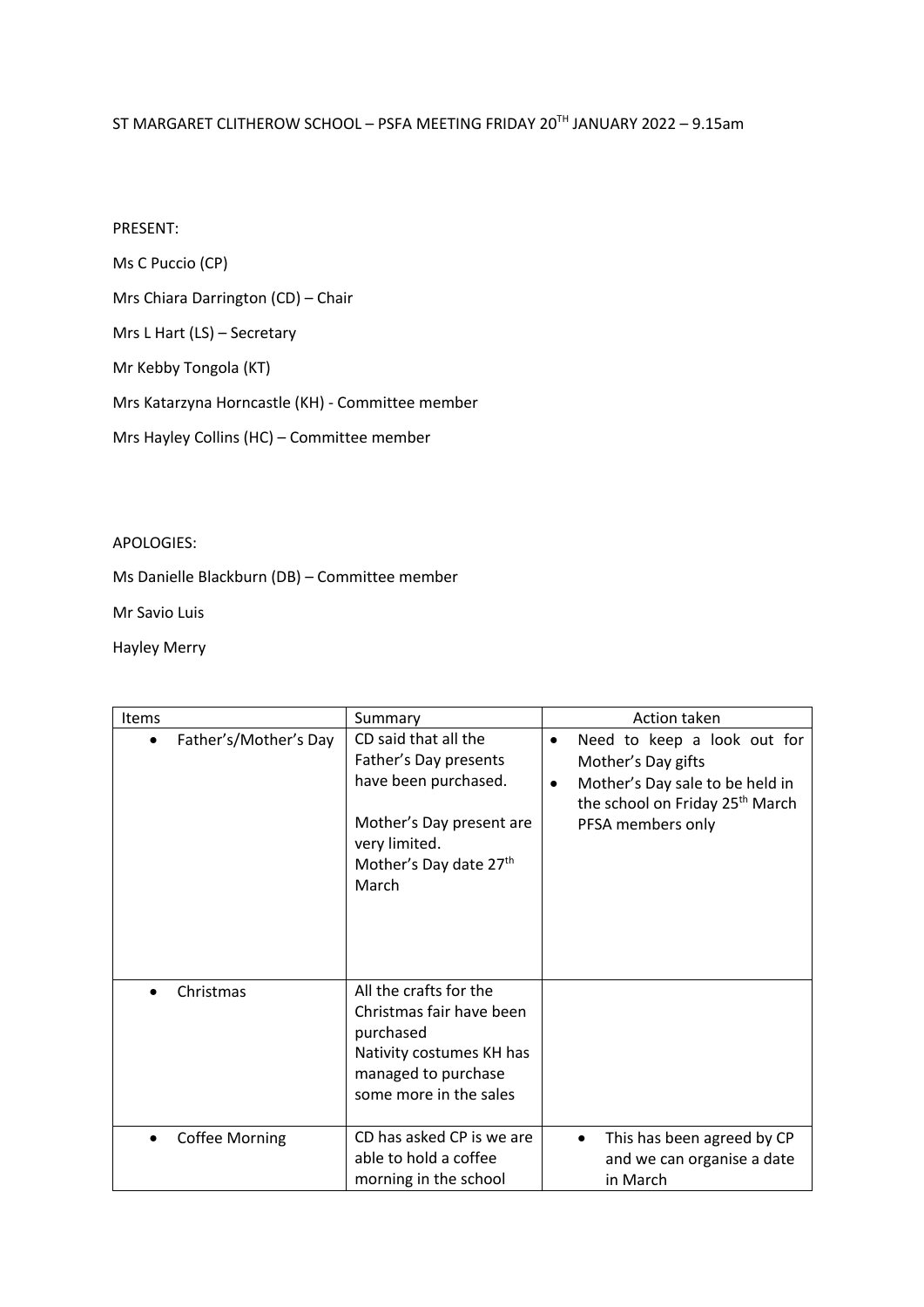## ST MARGARET CLITHEROW SCHOOL – PSFA MEETING FRIDAY 20TH JANUARY 2022 – 9.15am

## PRESENT:

Ms C Puccio (CP)

Mrs Chiara Darrington (CD) – Chair

Mrs L Hart (LS) – Secretary

Mr Kebby Tongola (KT)

Mrs Katarzyna Horncastle (KH) - Committee member

Mrs Hayley Collins (HC) – Committee member

## APOLOGIES:

Ms Danielle Blackburn (DB) – Committee member

Mr Savio Luis

Hayley Merry

| Items                              | Summary                                                                                                                                               | Action taken                                                                                                                                                                       |
|------------------------------------|-------------------------------------------------------------------------------------------------------------------------------------------------------|------------------------------------------------------------------------------------------------------------------------------------------------------------------------------------|
| Father's/Mother's Day<br>$\bullet$ | CD said that all the<br>Father's Day presents<br>have been purchased.<br>Mother's Day present are<br>very limited.<br>Mother's Day date 27th<br>March | Need to keep a look out for<br>$\bullet$<br>Mother's Day gifts<br>Mother's Day sale to be held in<br>$\bullet$<br>the school on Friday 25 <sup>th</sup> March<br>PFSA members only |
| Christmas<br>$\bullet$             | All the crafts for the<br>Christmas fair have been<br>purchased<br>Nativity costumes KH has<br>managed to purchase<br>some more in the sales          |                                                                                                                                                                                    |
| <b>Coffee Morning</b><br>$\bullet$ | CD has asked CP is we are<br>able to hold a coffee<br>morning in the school                                                                           | This has been agreed by CP<br>$\bullet$<br>and we can organise a date<br>in March                                                                                                  |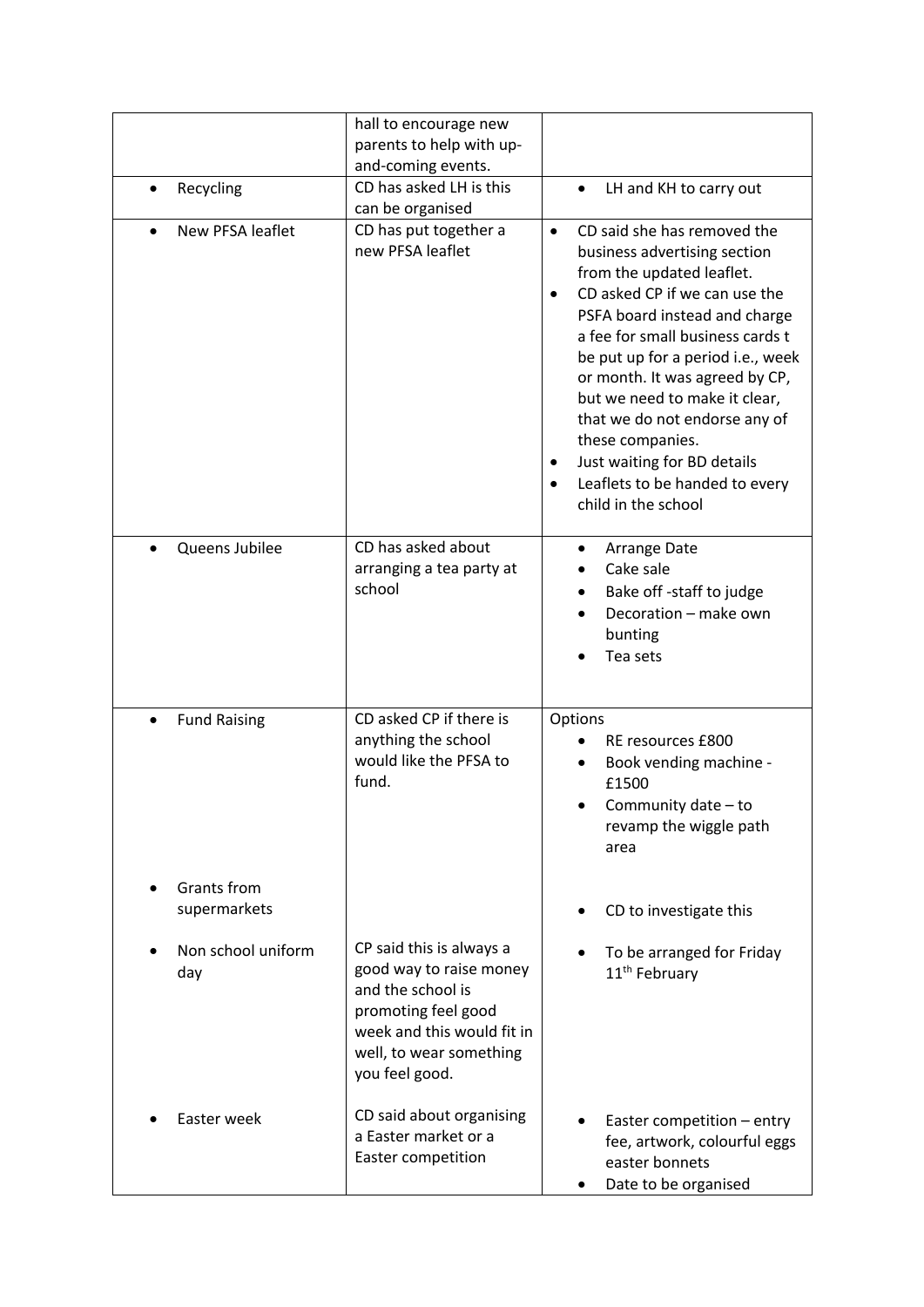|                             | hall to encourage new<br>parents to help with up-<br>and-coming events.                                                                                                    |                                                                                                                                                                                                                                                                                                                                                                                                                                                                                                         |
|-----------------------------|----------------------------------------------------------------------------------------------------------------------------------------------------------------------------|---------------------------------------------------------------------------------------------------------------------------------------------------------------------------------------------------------------------------------------------------------------------------------------------------------------------------------------------------------------------------------------------------------------------------------------------------------------------------------------------------------|
| Recycling                   | CD has asked LH is this<br>can be organised                                                                                                                                | LH and KH to carry out<br>$\bullet$                                                                                                                                                                                                                                                                                                                                                                                                                                                                     |
| New PFSA leaflet            | CD has put together a<br>new PFSA leaflet                                                                                                                                  | CD said she has removed the<br>$\bullet$<br>business advertising section<br>from the updated leaflet.<br>CD asked CP if we can use the<br>$\bullet$<br>PSFA board instead and charge<br>a fee for small business cards t<br>be put up for a period i.e., week<br>or month. It was agreed by CP,<br>but we need to make it clear,<br>that we do not endorse any of<br>these companies.<br>Just waiting for BD details<br>$\bullet$<br>Leaflets to be handed to every<br>$\bullet$<br>child in the school |
| Queens Jubilee              | CD has asked about<br>arranging a tea party at<br>school                                                                                                                   | Arrange Date<br>Cake sale<br>Bake off -staff to judge<br>Decoration - make own<br>bunting<br>Tea sets                                                                                                                                                                                                                                                                                                                                                                                                   |
| <b>Fund Raising</b><br>٠    | CD asked CP if there is<br>anything the school<br>would like the PFSA to<br>fund.                                                                                          | Options<br>RE resources £800<br>Book vending machine -<br>£1500<br>Community date - to<br>revamp the wiggle path<br>area                                                                                                                                                                                                                                                                                                                                                                                |
| Grants from<br>supermarkets |                                                                                                                                                                            | CD to investigate this                                                                                                                                                                                                                                                                                                                                                                                                                                                                                  |
| Non school uniform<br>day   | CP said this is always a<br>good way to raise money<br>and the school is<br>promoting feel good<br>week and this would fit in<br>well, to wear something<br>you feel good. | To be arranged for Friday<br>11 <sup>th</sup> February                                                                                                                                                                                                                                                                                                                                                                                                                                                  |
| Easter week                 | CD said about organising<br>a Easter market or a<br>Easter competition                                                                                                     | Easter competition - entry<br>fee, artwork, colourful eggs<br>easter bonnets<br>Date to be organised                                                                                                                                                                                                                                                                                                                                                                                                    |